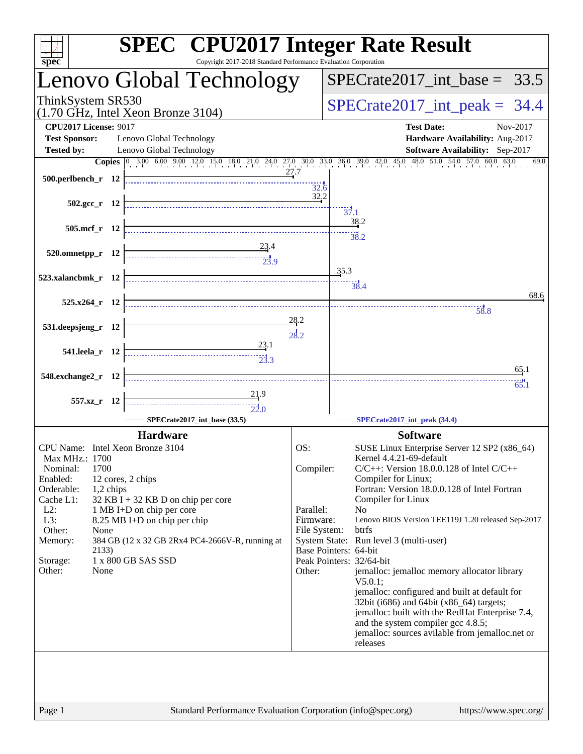| $spec^*$                                                 | <b>SPEC<sup>®</sup></b> CPU2017 Integer Rate Result<br>Copyright 2017-2018 Standard Performance Evaluation Corporation                                                                                                                                                                                                                                                                                                                                                                                        |              |                                                                                                                           |
|----------------------------------------------------------|---------------------------------------------------------------------------------------------------------------------------------------------------------------------------------------------------------------------------------------------------------------------------------------------------------------------------------------------------------------------------------------------------------------------------------------------------------------------------------------------------------------|--------------|---------------------------------------------------------------------------------------------------------------------------|
|                                                          | Lenovo Global Technology                                                                                                                                                                                                                                                                                                                                                                                                                                                                                      |              | $SPECTate2017\_int\_base = 33.5$                                                                                          |
| ThinkSystem SR530<br>(1.70 GHz, Intel Xeon Bronze 3104)  |                                                                                                                                                                                                                                                                                                                                                                                                                                                                                                               |              | $SPECTate2017\_int\_peak = 34.4$                                                                                          |
| <b>CPU2017 License: 9017</b>                             |                                                                                                                                                                                                                                                                                                                                                                                                                                                                                                               |              | <b>Test Date:</b><br>Nov-2017                                                                                             |
| <b>Test Sponsor:</b>                                     | Lenovo Global Technology                                                                                                                                                                                                                                                                                                                                                                                                                                                                                      |              | Hardware Availability: Aug-2017                                                                                           |
| <b>Tested by:</b>                                        | Lenovo Global Technology                                                                                                                                                                                                                                                                                                                                                                                                                                                                                      |              | Software Availability: Sep-2017                                                                                           |
| 500.perlbench_r 12                                       |                                                                                                                                                                                                                                                                                                                                                                                                                                                                                                               | 27.7<br>32.6 | Copies 0 3.00 6.00 9.00 12.0 15.0 18.0 21.0 24.0 27.0 30.0 33.0 36.0 39.0 42.0 45.0 48.0 51.0 54.0 57.0 60.0 63.0<br>69.0 |
| $502.\text{gcc}_r$ 12                                    |                                                                                                                                                                                                                                                                                                                                                                                                                                                                                                               | 32.2         | $\frac{1}{37.1}$                                                                                                          |
| 505.mcf_r 12                                             |                                                                                                                                                                                                                                                                                                                                                                                                                                                                                                               |              | 38.2                                                                                                                      |
|                                                          |                                                                                                                                                                                                                                                                                                                                                                                                                                                                                                               |              | 38.2                                                                                                                      |
| $520.0$ mnetpp_r 12                                      | $\begin{array}{c c c c c} \hline \multicolumn{3}{c }{\textbf{\textcolor{blue}{\bf -}} } & & & \multicolumn{2}{c }{\textbf{\textcolor{blue}{\bf -}} } \\ \hline \multicolumn{2}{c }{\textbf{\textcolor{blue}{\bf -}} } & & & \multicolumn{2}{c }{\textbf{\textcolor{blue}{\bf -}} } \\ \hline \multicolumn{2}{c }{\textbf{\textcolor{blue}{\bf -}} } & & & \multicolumn{2}{c }{\textbf{\textcolor{blue}{\bf -}} } \\ \hline \multicolumn{2}{c }{\textbf{\textcolor{blue}{\bf -}} } & & & \multicolumn{2}{c }{$ |              |                                                                                                                           |
|                                                          |                                                                                                                                                                                                                                                                                                                                                                                                                                                                                                               |              |                                                                                                                           |
| 523.xalancbmk_r 12                                       |                                                                                                                                                                                                                                                                                                                                                                                                                                                                                                               |              | 35.3                                                                                                                      |
|                                                          |                                                                                                                                                                                                                                                                                                                                                                                                                                                                                                               |              | 38.4<br>68.6                                                                                                              |
| 525.x264 r 12                                            |                                                                                                                                                                                                                                                                                                                                                                                                                                                                                                               |              |                                                                                                                           |
|                                                          |                                                                                                                                                                                                                                                                                                                                                                                                                                                                                                               | 28.2         | 58.8                                                                                                                      |
| 531.deepsjeng_r 12                                       |                                                                                                                                                                                                                                                                                                                                                                                                                                                                                                               | 28.2         |                                                                                                                           |
|                                                          | 23.1                                                                                                                                                                                                                                                                                                                                                                                                                                                                                                          |              |                                                                                                                           |
| 541.leela_r 12                                           | $\begin{array}{c}\n  \overbrace{\phantom{1}}\phantom{1}\phantom{1} \phantom{1} \phantom{1} \phantom{1} \phantom{1} \phantom{1} \phantom{1} \phantom{1} \phantom{1} \phantom{1} \phantom{1} \phantom{1} \phantom{1} \phantom{1} \phantom{1} \phantom{1} \phantom{1} \phantom{1} \phantom{1} \phantom{1} \phantom{1} \phantom{1} \phantom{1} \phantom{1} \phantom{1} \phantom{1} \phantom{1} \phantom{1} \phantom{1} \phantom{1} \phantom{1} \phantom{1} \phantom{1$                                            |              |                                                                                                                           |
|                                                          |                                                                                                                                                                                                                                                                                                                                                                                                                                                                                                               |              | 65.1                                                                                                                      |
| 548.exchange2_r 12                                       |                                                                                                                                                                                                                                                                                                                                                                                                                                                                                                               |              | 65.1                                                                                                                      |
| 557.xz_r 12                                              | 21.9                                                                                                                                                                                                                                                                                                                                                                                                                                                                                                          |              |                                                                                                                           |
|                                                          | $\frac{1}{22.0}$                                                                                                                                                                                                                                                                                                                                                                                                                                                                                              |              |                                                                                                                           |
|                                                          | SPECrate2017_int_base (33.5)                                                                                                                                                                                                                                                                                                                                                                                                                                                                                  |              | SPECrate2017_int_peak (34.4)                                                                                              |
|                                                          | <b>Hardware</b>                                                                                                                                                                                                                                                                                                                                                                                                                                                                                               |              | <b>Software</b>                                                                                                           |
| CPU Name: Intel Xeon Bronze 3104                         |                                                                                                                                                                                                                                                                                                                                                                                                                                                                                                               | OS:          | SUSE Linux Enterprise Server 12 SP2 (x86_64)                                                                              |
| Max MHz.: 1700                                           |                                                                                                                                                                                                                                                                                                                                                                                                                                                                                                               |              | Kernel 4.4.21-69-default                                                                                                  |
| 1700<br>Nominal:                                         |                                                                                                                                                                                                                                                                                                                                                                                                                                                                                                               | Compiler:    | $C/C++$ : Version 18.0.0.128 of Intel $C/C++$                                                                             |
| Enabled:<br>12 cores, 2 chips<br>Orderable:<br>1,2 chips |                                                                                                                                                                                                                                                                                                                                                                                                                                                                                                               |              | Compiler for Linux;<br>Fortran: Version 18.0.0.128 of Intel Fortran                                                       |
| Cache L1:                                                | 32 KB I + 32 KB D on chip per core                                                                                                                                                                                                                                                                                                                                                                                                                                                                            |              | Compiler for Linux                                                                                                        |
| $L2$ :                                                   | 1 MB I+D on chip per core                                                                                                                                                                                                                                                                                                                                                                                                                                                                                     | Parallel:    | N <sub>0</sub>                                                                                                            |
| L3:<br>Other:<br>None                                    | 8.25 MB I+D on chip per chip                                                                                                                                                                                                                                                                                                                                                                                                                                                                                  | Firmware:    | Lenovo BIOS Version TEE119J 1.20 released Sep-2017<br>btrfs                                                               |
| Memory:                                                  | 384 GB (12 x 32 GB 2Rx4 PC4-2666V-R, running at                                                                                                                                                                                                                                                                                                                                                                                                                                                               | File System: | System State: Run level 3 (multi-user)                                                                                    |
| 2133)                                                    |                                                                                                                                                                                                                                                                                                                                                                                                                                                                                                               |              | Base Pointers: 64-bit                                                                                                     |
| 1 x 800 GB SAS SSD<br>Storage:                           |                                                                                                                                                                                                                                                                                                                                                                                                                                                                                                               |              | Peak Pointers: 32/64-bit                                                                                                  |
| Other:<br>None                                           |                                                                                                                                                                                                                                                                                                                                                                                                                                                                                                               | Other:       | jemalloc: jemalloc memory allocator library                                                                               |
|                                                          |                                                                                                                                                                                                                                                                                                                                                                                                                                                                                                               |              | $V5.0.1$ :<br>jemalloc: configured and built at default for                                                               |
|                                                          |                                                                                                                                                                                                                                                                                                                                                                                                                                                                                                               |              | 32bit (i686) and 64bit (x86_64) targets;                                                                                  |
|                                                          |                                                                                                                                                                                                                                                                                                                                                                                                                                                                                                               |              | jemalloc: built with the RedHat Enterprise 7.4,                                                                           |
|                                                          |                                                                                                                                                                                                                                                                                                                                                                                                                                                                                                               |              | and the system compiler gcc 4.8.5;                                                                                        |
|                                                          |                                                                                                                                                                                                                                                                                                                                                                                                                                                                                                               |              | jemalloc: sources avilable from jemalloc.net or<br>releases                                                               |
|                                                          |                                                                                                                                                                                                                                                                                                                                                                                                                                                                                                               |              |                                                                                                                           |
|                                                          |                                                                                                                                                                                                                                                                                                                                                                                                                                                                                                               |              |                                                                                                                           |
|                                                          |                                                                                                                                                                                                                                                                                                                                                                                                                                                                                                               |              |                                                                                                                           |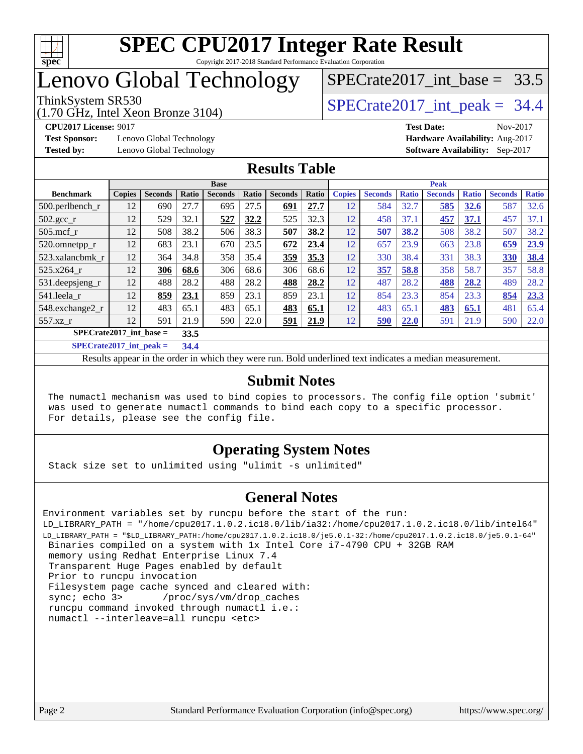

## Lenovo Global Technology

(1.70 GHz, Intel Xeon Bronze 3104)

**[Test Sponsor:](http://www.spec.org/auto/cpu2017/Docs/result-fields.html#TestSponsor)** Lenovo Global Technology **[Hardware Availability:](http://www.spec.org/auto/cpu2017/Docs/result-fields.html#HardwareAvailability)** Aug-2017 **[Tested by:](http://www.spec.org/auto/cpu2017/Docs/result-fields.html#Testedby)** Lenovo Global Technology **[Software Availability:](http://www.spec.org/auto/cpu2017/Docs/result-fields.html#SoftwareAvailability)** Sep-2017

SPECrate2017 int\_base =  $33.5$ 

### ThinkSystem SR530  $SPECrate2017$  int peak = 34.4

**[CPU2017 License:](http://www.spec.org/auto/cpu2017/Docs/result-fields.html#CPU2017License)** 9017 **[Test Date:](http://www.spec.org/auto/cpu2017/Docs/result-fields.html#TestDate)** Nov-2017

#### **[Results Table](http://www.spec.org/auto/cpu2017/Docs/result-fields.html#ResultsTable)**

|                           | <b>Base</b>   |                |       |                | <b>Peak</b> |                |       |               |                |              |                |              |                |              |
|---------------------------|---------------|----------------|-------|----------------|-------------|----------------|-------|---------------|----------------|--------------|----------------|--------------|----------------|--------------|
| <b>Benchmark</b>          | <b>Copies</b> | <b>Seconds</b> | Ratio | <b>Seconds</b> | Ratio       | <b>Seconds</b> | Ratio | <b>Copies</b> | <b>Seconds</b> | <b>Ratio</b> | <b>Seconds</b> | <b>Ratio</b> | <b>Seconds</b> | <b>Ratio</b> |
| $500.$ perlbench_r        | 12            | 690            | 27.7  | 695            | 27.5        | 691            | 27.7  | 12            | 584            | 32.7         | 585            | 32.6         | 587            | 32.6         |
| 502.gcc_r                 | 12            | 529            | 32.1  | 527            | 32.2        | 525            | 32.3  | 12            | 458            | 37.1         | 457            | 37.1         | 457            | 37.1         |
| $505$ .mcf r              | 12            | 508            | 38.2  | 506            | 38.3        | 507            | 38.2  | 12            | 507            | 38.2         | 508            | 38.2         | 507            | 38.2         |
| 520.omnetpp_r             | 12            | 683            | 23.1  | 670            | 23.5        | 672            | 23.4  | 12            | 657            | 23.9         | 663            | 23.8         | 659            | 23.9         |
| 523.xalancbmk r           | 12            | 364            | 34.8  | 358            | 35.4        | 359            | 35.3  | 12            | 330            | 38.4         | 331            | 38.3         | 330            | 38.4         |
| 525.x264 r                | 12            | 306            | 68.6  | 306            | 68.6        | 306            | 68.6  | 12            | 357            | 58.8         | 358            | 58.7         | 357            | 58.8         |
| 531.deepsjeng_r           | 12            | 488            | 28.2  | 488            | 28.2        | 488            | 28.2  | 12            | 487            | 28.2         | 488            | 28.2         | 489            | 28.2         |
| 541.leela_r               | 12            | 859            | 23.1  | 859            | 23.1        | 859            | 23.1  | 12            | 854            | 23.3         | 854            | 23.3         | 854            | 23.3         |
| 548.exchange2_r           | 12            | 483            | 65.1  | 483            | 65.1        | 483            | 65.1  | 12            | 483            | 65.1         | 483            | 65.1         | 481            | 65.4         |
| 557.xz r                  | 12            | 591            | 21.9  | 590            | 22.0        | 591            | 21.9  | 12            | 590            | 22.0         | 591            | 21.9         | 590            | 22.0         |
| $SPECrate2017$ int base = |               |                | 33.5  |                |             |                |       |               |                |              |                |              |                |              |
| $C1 + A2 + A3 + A4$       |               |                | - - - |                |             |                |       |               |                |              |                |              |                |              |

**[SPECrate2017\\_int\\_peak =](http://www.spec.org/auto/cpu2017/Docs/result-fields.html#SPECrate2017intpeak) 34.4**

Results appear in the [order in which they were run](http://www.spec.org/auto/cpu2017/Docs/result-fields.html#RunOrder). Bold underlined text [indicates a median measurement](http://www.spec.org/auto/cpu2017/Docs/result-fields.html#Median).

#### **[Submit Notes](http://www.spec.org/auto/cpu2017/Docs/result-fields.html#SubmitNotes)**

 The numactl mechanism was used to bind copies to processors. The config file option 'submit' was used to generate numactl commands to bind each copy to a specific processor. For details, please see the config file.

### **[Operating System Notes](http://www.spec.org/auto/cpu2017/Docs/result-fields.html#OperatingSystemNotes)**

Stack size set to unlimited using "ulimit -s unlimited"

### **[General Notes](http://www.spec.org/auto/cpu2017/Docs/result-fields.html#GeneralNotes)**

Environment variables set by runcpu before the start of the run: LD\_LIBRARY\_PATH = "/home/cpu2017.1.0.2.ic18.0/lib/ia32:/home/cpu2017.1.0.2.ic18.0/lib/intel64" LD\_LIBRARY\_PATH = "\$LD\_LIBRARY\_PATH:/home/cpu2017.1.0.2.ic18.0/je5.0.1-32:/home/cpu2017.1.0.2.ic18.0/je5.0.1-64" Binaries compiled on a system with 1x Intel Core i7-4790 CPU + 32GB RAM memory using Redhat Enterprise Linux 7.4 Transparent Huge Pages enabled by default Prior to runcpu invocation Filesystem page cache synced and cleared with: sync; echo 3> /proc/sys/vm/drop\_caches runcpu command invoked through numactl i.e.: numactl --interleave=all runcpu <etc>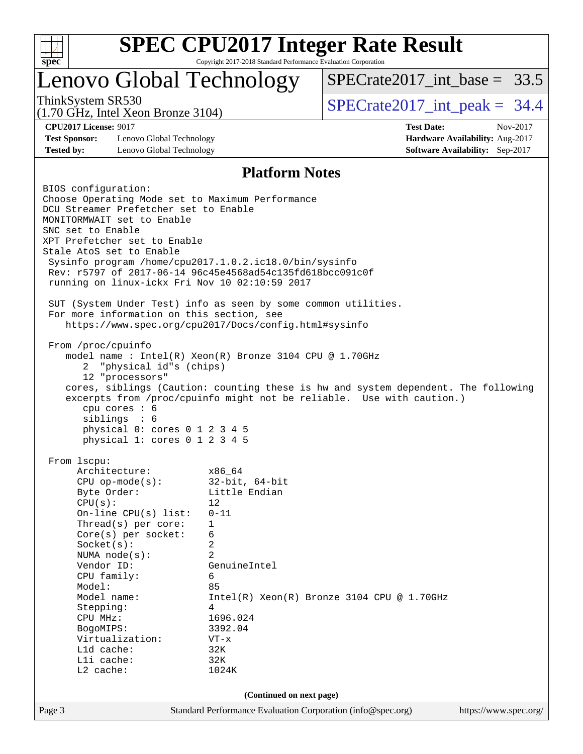

## Lenovo Global Technology

SPECrate2017 int\_base =  $33.5$ 

(1.70 GHz, Intel Xeon Bronze 3104)

**[Test Sponsor:](http://www.spec.org/auto/cpu2017/Docs/result-fields.html#TestSponsor)** Lenovo Global Technology **[Hardware Availability:](http://www.spec.org/auto/cpu2017/Docs/result-fields.html#HardwareAvailability)** Aug-2017 **[Tested by:](http://www.spec.org/auto/cpu2017/Docs/result-fields.html#Testedby)** Lenovo Global Technology **[Software Availability:](http://www.spec.org/auto/cpu2017/Docs/result-fields.html#SoftwareAvailability)** Sep-2017

ThinkSystem SR530  $SPECrate2017$  int peak = 34.4

**[CPU2017 License:](http://www.spec.org/auto/cpu2017/Docs/result-fields.html#CPU2017License)** 9017 **[Test Date:](http://www.spec.org/auto/cpu2017/Docs/result-fields.html#TestDate)** Nov-2017

#### **[Platform Notes](http://www.spec.org/auto/cpu2017/Docs/result-fields.html#PlatformNotes)**

Page 3 Standard Performance Evaluation Corporation [\(info@spec.org\)](mailto:info@spec.org) <https://www.spec.org/> BIOS configuration: Choose Operating Mode set to Maximum Performance DCU Streamer Prefetcher set to Enable MONITORMWAIT set to Enable SNC set to Enable XPT Prefetcher set to Enable Stale AtoS set to Enable Sysinfo program /home/cpu2017.1.0.2.ic18.0/bin/sysinfo Rev: r5797 of 2017-06-14 96c45e4568ad54c135fd618bcc091c0f running on linux-ickx Fri Nov 10 02:10:59 2017 SUT (System Under Test) info as seen by some common utilities. For more information on this section, see <https://www.spec.org/cpu2017/Docs/config.html#sysinfo> From /proc/cpuinfo model name : Intel(R) Xeon(R) Bronze 3104 CPU @ 1.70GHz 2 "physical id"s (chips) 12 "processors" cores, siblings (Caution: counting these is hw and system dependent. The following excerpts from /proc/cpuinfo might not be reliable. Use with caution.) cpu cores : 6 siblings : 6 physical 0: cores 0 1 2 3 4 5 physical 1: cores 0 1 2 3 4 5 From lscpu: Architecture: x86\_64<br>
CPU op-mode(s): 32-bit, 64-bit CPU op-mode $(s):$ Byte Order: Little Endian  $CPU(s):$  12 On-line CPU(s) list: 0-11 Thread(s) per core: 1 Core(s) per socket: 6 Socket(s): 2 NUMA node(s): 2 Vendor ID: GenuineIntel CPU family: 6 Model: 85 Model name: Intel(R) Xeon(R) Bronze 3104 CPU @ 1.70GHz Stepping: 4 CPU MHz: 1696.024 BogoMIPS: 3392.04 Virtualization: VT-x L1d cache: 32K L1i cache: 32K L2 cache: 1024K **(Continued on next page)**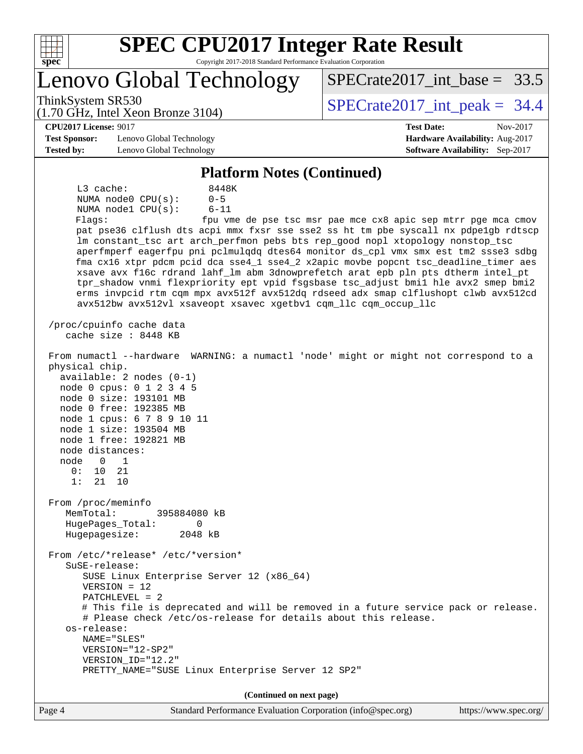

# **[SPEC CPU2017 Integer Rate Result](http://www.spec.org/auto/cpu2017/Docs/result-fields.html#SPECCPU2017IntegerRateResult)**

Copyright 2017-2018 Standard Performance Evaluation Corporation

Lenovo Global Technology

ThinkSystem SR530  $SPECrate2017$  int peak = 34.4

SPECrate2017 int\_base =  $33.5$ 

#### (1.70 GHz, Intel Xeon Bronze 3104) **[CPU2017 License:](http://www.spec.org/auto/cpu2017/Docs/result-fields.html#CPU2017License)** 9017 **[Test Date:](http://www.spec.org/auto/cpu2017/Docs/result-fields.html#TestDate)** Nov-2017

**[Test Sponsor:](http://www.spec.org/auto/cpu2017/Docs/result-fields.html#TestSponsor)** Lenovo Global Technology **[Hardware Availability:](http://www.spec.org/auto/cpu2017/Docs/result-fields.html#HardwareAvailability)** Aug-2017 **[Tested by:](http://www.spec.org/auto/cpu2017/Docs/result-fields.html#Testedby)** Lenovo Global Technology **[Software Availability:](http://www.spec.org/auto/cpu2017/Docs/result-fields.html#SoftwareAvailability)** Sep-2017

#### **[Platform Notes \(Continued\)](http://www.spec.org/auto/cpu2017/Docs/result-fields.html#PlatformNotes)**

L3 cache: 8448K NUMA node0 CPU(s): 0-5 NUMA node1 CPU(s): 6-11 Flags: fpu vme de pse tsc msr pae mce cx8 apic sep mtrr pge mca cmov pat pse36 clflush dts acpi mmx fxsr sse sse2 ss ht tm pbe syscall nx pdpe1gb rdtscp lm constant\_tsc art arch\_perfmon pebs bts rep\_good nopl xtopology nonstop\_tsc aperfmperf eagerfpu pni pclmulqdq dtes64 monitor ds\_cpl vmx smx est tm2 ssse3 sdbg fma cx16 xtpr pdcm pcid dca sse4\_1 sse4\_2 x2apic movbe popcnt tsc\_deadline\_timer aes xsave avx f16c rdrand lahf\_lm abm 3dnowprefetch arat epb pln pts dtherm intel\_pt tpr\_shadow vnmi flexpriority ept vpid fsgsbase tsc\_adjust bmi1 hle avx2 smep bmi2 erms invpcid rtm cqm mpx avx512f avx512dq rdseed adx smap clflushopt clwb avx512cd avx512bw avx512vl xsaveopt xsavec xgetbv1 cqm\_llc cqm\_occup\_llc /proc/cpuinfo cache data cache size : 8448 KB From numactl --hardware WARNING: a numactl 'node' might or might not correspond to a physical chip. available: 2 nodes (0-1) node 0 cpus: 0 1 2 3 4 5 node 0 size: 193101 MB node 0 free: 192385 MB node 1 cpus: 6 7 8 9 10 11 node 1 size: 193504 MB node 1 free: 192821 MB node distances: node 0 1 0: 10 21 1: 21 10 From /proc/meminfo MemTotal: 395884080 kB HugePages\_Total: 0 Hugepagesize: 2048 kB From /etc/\*release\* /etc/\*version\* SuSE-release: SUSE Linux Enterprise Server 12 (x86\_64) VERSION = 12 PATCHLEVEL = 2 # This file is deprecated and will be removed in a future service pack or release. # Please check /etc/os-release for details about this release. os-release: NAME="SLES" VERSION="12-SP2" VERSION\_ID="12.2" PRETTY\_NAME="SUSE Linux Enterprise Server 12 SP2" **(Continued on next page)**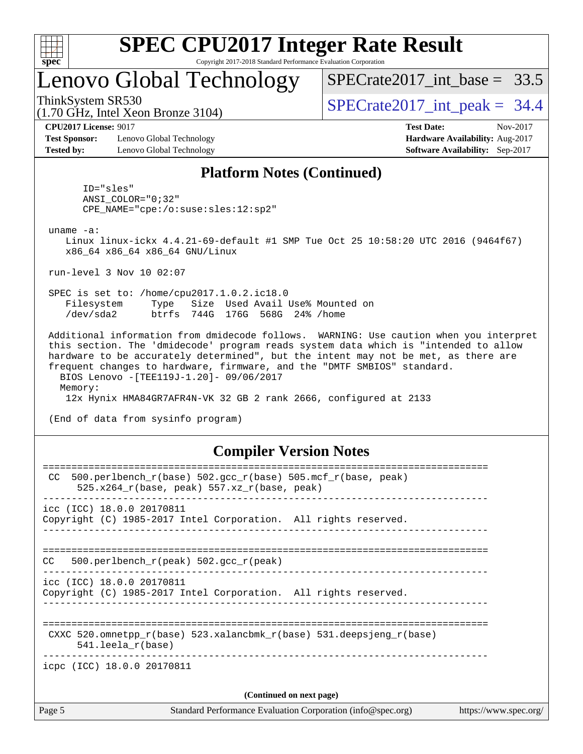

## Lenovo Global Technology

SPECrate2017 int\_base =  $33.5$ 

(1.70 GHz, Intel Xeon Bronze 3104)

ThinkSystem SR530  $SPECrate2017$  int peak = 34.4

**[CPU2017 License:](http://www.spec.org/auto/cpu2017/Docs/result-fields.html#CPU2017License)** 9017 **[Test Date:](http://www.spec.org/auto/cpu2017/Docs/result-fields.html#TestDate)** Nov-2017

**[Test Sponsor:](http://www.spec.org/auto/cpu2017/Docs/result-fields.html#TestSponsor)** Lenovo Global Technology **[Hardware Availability:](http://www.spec.org/auto/cpu2017/Docs/result-fields.html#HardwareAvailability)** Aug-2017 **[Tested by:](http://www.spec.org/auto/cpu2017/Docs/result-fields.html#Testedby)** Lenovo Global Technology **[Software Availability:](http://www.spec.org/auto/cpu2017/Docs/result-fields.html#SoftwareAvailability)** Sep-2017

#### **[Platform Notes \(Continued\)](http://www.spec.org/auto/cpu2017/Docs/result-fields.html#PlatformNotes)**

 ID="sles" ANSI\_COLOR="0;32" CPE\_NAME="cpe:/o:suse:sles:12:sp2"

uname -a:

 Linux linux-ickx 4.4.21-69-default #1 SMP Tue Oct 25 10:58:20 UTC 2016 (9464f67) x86\_64 x86\_64 x86\_64 GNU/Linux

run-level 3 Nov 10 02:07

 SPEC is set to: /home/cpu2017.1.0.2.ic18.0 Filesystem Type Size Used Avail Use% Mounted on /dev/sda2 btrfs 744G 176G 568G 24% /home

 Additional information from dmidecode follows. WARNING: Use caution when you interpret this section. The 'dmidecode' program reads system data which is "intended to allow hardware to be accurately determined", but the intent may not be met, as there are frequent changes to hardware, firmware, and the "DMTF SMBIOS" standard. BIOS Lenovo -[TEE119J-1.20]- 09/06/2017 Memory:

12x Hynix HMA84GR7AFR4N-VK 32 GB 2 rank 2666, configured at 2133

(End of data from sysinfo program)

#### **[Compiler Version Notes](http://www.spec.org/auto/cpu2017/Docs/result-fields.html#CompilerVersionNotes)**

| Page 5<br>Standard Performance Evaluation Corporation (info@spec.org)                                                              | https://www.spec.org/ |
|------------------------------------------------------------------------------------------------------------------------------------|-----------------------|
| (Continued on next page)                                                                                                           |                       |
| icpc (ICC) 18.0.0 20170811                                                                                                         |                       |
| CXXC 520.omnetpp $r(base)$ 523.xalancbmk $r(base)$ 531.deepsjeng $r(base)$<br>$541.$ leela r(base)                                 |                       |
| icc (ICC) 18.0.0 20170811<br>Copyright (C) 1985-2017 Intel Corporation. All rights reserved.                                       |                       |
| 500.perlbench $r(\text{peak})$ 502.gcc $r(\text{peak})$<br>CC.                                                                     |                       |
| icc (ICC) 18.0.0 20170811<br>Copyright (C) 1985-2017 Intel Corporation. All rights reserved.<br>---------------------------------- |                       |
| $500. perlbench_r(base) 502. gcc_r(base) 505.mcf_r(base, peak)$<br>CC.<br>525.x264 $r(base, peak)$ 557.xz $r(base, peak)$          |                       |
|                                                                                                                                    |                       |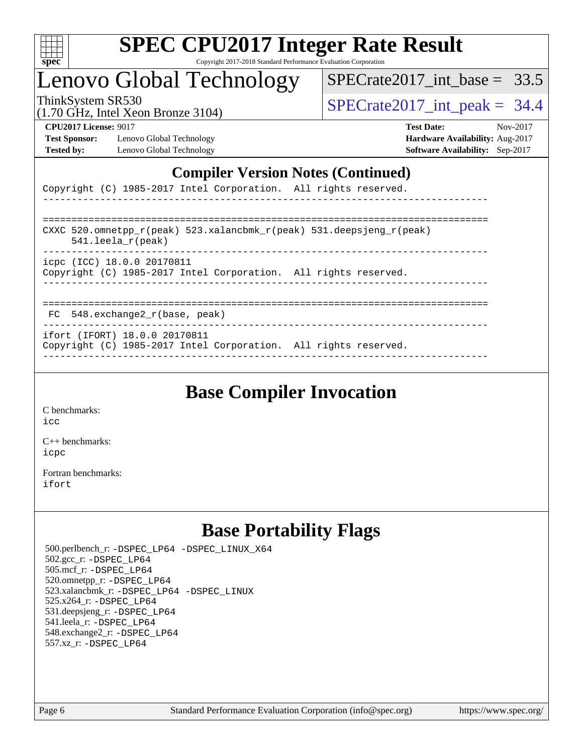

## Lenovo Global Technology

 $SPECTate2017\_int\_base = 33.5$ 

(1.70 GHz, Intel Xeon Bronze 3104)

ThinkSystem SR530  $SPECrate2017$  int peak = 34.4

**[Test Sponsor:](http://www.spec.org/auto/cpu2017/Docs/result-fields.html#TestSponsor)** Lenovo Global Technology **[Hardware Availability:](http://www.spec.org/auto/cpu2017/Docs/result-fields.html#HardwareAvailability)** Aug-2017 **[Tested by:](http://www.spec.org/auto/cpu2017/Docs/result-fields.html#Testedby)** Lenovo Global Technology **[Software Availability:](http://www.spec.org/auto/cpu2017/Docs/result-fields.html#SoftwareAvailability)** Sep-2017

**[CPU2017 License:](http://www.spec.org/auto/cpu2017/Docs/result-fields.html#CPU2017License)** 9017 **[Test Date:](http://www.spec.org/auto/cpu2017/Docs/result-fields.html#TestDate)** Nov-2017

#### **[Compiler Version Notes \(Continued\)](http://www.spec.org/auto/cpu2017/Docs/result-fields.html#CompilerVersionNotes)**

|  | Copyright (C) 1985-2017 Intel Corporation. All rights reserved. |
|--|-----------------------------------------------------------------|
|--|-----------------------------------------------------------------|

| CXXC 520.omnetpp $r(\text{peak})$ 523.xalancbmk $r(\text{peak})$ 531.deepsjeng $r(\text{peak})$<br>$541.$ leela r(peak) |
|-------------------------------------------------------------------------------------------------------------------------|
| icpc (ICC) 18.0.0 20170811<br>Copyright (C) 1985-2017 Intel Corporation. All rights reserved.                           |
|                                                                                                                         |

FC 548.exchange2\_r(base, peak)

------------------------------------------------------------------------------

ifort (IFORT) 18.0.0 20170811

Copyright (C) 1985-2017 Intel Corporation. All rights reserved. ------------------------------------------------------------------------------

## **[Base Compiler Invocation](http://www.spec.org/auto/cpu2017/Docs/result-fields.html#BaseCompilerInvocation)**

[C benchmarks](http://www.spec.org/auto/cpu2017/Docs/result-fields.html#Cbenchmarks): [icc](http://www.spec.org/cpu2017/results/res2017q4/cpu2017-20171113-00541.flags.html#user_CCbase_intel_icc_18.0_66fc1ee009f7361af1fbd72ca7dcefbb700085f36577c54f309893dd4ec40d12360134090235512931783d35fd58c0460139e722d5067c5574d8eaf2b3e37e92)

[C++ benchmarks:](http://www.spec.org/auto/cpu2017/Docs/result-fields.html#CXXbenchmarks) [icpc](http://www.spec.org/cpu2017/results/res2017q4/cpu2017-20171113-00541.flags.html#user_CXXbase_intel_icpc_18.0_c510b6838c7f56d33e37e94d029a35b4a7bccf4766a728ee175e80a419847e808290a9b78be685c44ab727ea267ec2f070ec5dc83b407c0218cded6866a35d07)

[Fortran benchmarks](http://www.spec.org/auto/cpu2017/Docs/result-fields.html#Fortranbenchmarks): [ifort](http://www.spec.org/cpu2017/results/res2017q4/cpu2017-20171113-00541.flags.html#user_FCbase_intel_ifort_18.0_8111460550e3ca792625aed983ce982f94888b8b503583aa7ba2b8303487b4d8a21a13e7191a45c5fd58ff318f48f9492884d4413fa793fd88dd292cad7027ca)

## **[Base Portability Flags](http://www.spec.org/auto/cpu2017/Docs/result-fields.html#BasePortabilityFlags)**

 500.perlbench\_r: [-DSPEC\\_LP64](http://www.spec.org/cpu2017/results/res2017q4/cpu2017-20171113-00541.flags.html#b500.perlbench_r_basePORTABILITY_DSPEC_LP64) [-DSPEC\\_LINUX\\_X64](http://www.spec.org/cpu2017/results/res2017q4/cpu2017-20171113-00541.flags.html#b500.perlbench_r_baseCPORTABILITY_DSPEC_LINUX_X64) 502.gcc\_r: [-DSPEC\\_LP64](http://www.spec.org/cpu2017/results/res2017q4/cpu2017-20171113-00541.flags.html#suite_basePORTABILITY502_gcc_r_DSPEC_LP64) 505.mcf\_r: [-DSPEC\\_LP64](http://www.spec.org/cpu2017/results/res2017q4/cpu2017-20171113-00541.flags.html#suite_basePORTABILITY505_mcf_r_DSPEC_LP64) 520.omnetpp\_r: [-DSPEC\\_LP64](http://www.spec.org/cpu2017/results/res2017q4/cpu2017-20171113-00541.flags.html#suite_basePORTABILITY520_omnetpp_r_DSPEC_LP64) 523.xalancbmk\_r: [-DSPEC\\_LP64](http://www.spec.org/cpu2017/results/res2017q4/cpu2017-20171113-00541.flags.html#suite_basePORTABILITY523_xalancbmk_r_DSPEC_LP64) [-DSPEC\\_LINUX](http://www.spec.org/cpu2017/results/res2017q4/cpu2017-20171113-00541.flags.html#b523.xalancbmk_r_baseCXXPORTABILITY_DSPEC_LINUX) 525.x264\_r: [-DSPEC\\_LP64](http://www.spec.org/cpu2017/results/res2017q4/cpu2017-20171113-00541.flags.html#suite_basePORTABILITY525_x264_r_DSPEC_LP64) 531.deepsjeng\_r: [-DSPEC\\_LP64](http://www.spec.org/cpu2017/results/res2017q4/cpu2017-20171113-00541.flags.html#suite_basePORTABILITY531_deepsjeng_r_DSPEC_LP64) 541.leela\_r: [-DSPEC\\_LP64](http://www.spec.org/cpu2017/results/res2017q4/cpu2017-20171113-00541.flags.html#suite_basePORTABILITY541_leela_r_DSPEC_LP64) 548.exchange2\_r: [-DSPEC\\_LP64](http://www.spec.org/cpu2017/results/res2017q4/cpu2017-20171113-00541.flags.html#suite_basePORTABILITY548_exchange2_r_DSPEC_LP64) 557.xz\_r: [-DSPEC\\_LP64](http://www.spec.org/cpu2017/results/res2017q4/cpu2017-20171113-00541.flags.html#suite_basePORTABILITY557_xz_r_DSPEC_LP64)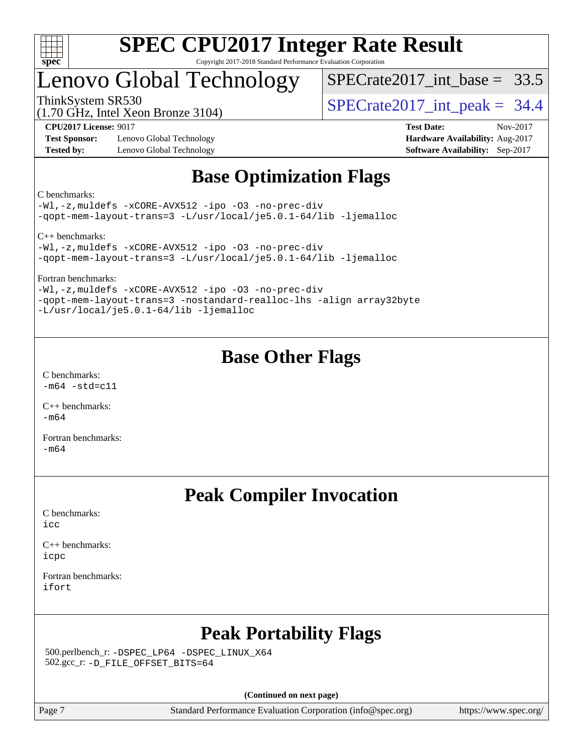

## Lenovo Global Technology

SPECrate2017 int\_base =  $33.5$ 

(1.70 GHz, Intel Xeon Bronze 3104)

ThinkSystem SR530  $SPECrate2017$  int peak = 34.4

**[Test Sponsor:](http://www.spec.org/auto/cpu2017/Docs/result-fields.html#TestSponsor)** Lenovo Global Technology **[Hardware Availability:](http://www.spec.org/auto/cpu2017/Docs/result-fields.html#HardwareAvailability)** Aug-2017 **[Tested by:](http://www.spec.org/auto/cpu2017/Docs/result-fields.html#Testedby)** Lenovo Global Technology **[Software Availability:](http://www.spec.org/auto/cpu2017/Docs/result-fields.html#SoftwareAvailability)** Sep-2017

**[CPU2017 License:](http://www.spec.org/auto/cpu2017/Docs/result-fields.html#CPU2017License)** 9017 **[Test Date:](http://www.spec.org/auto/cpu2017/Docs/result-fields.html#TestDate)** Nov-2017

## **[Base Optimization Flags](http://www.spec.org/auto/cpu2017/Docs/result-fields.html#BaseOptimizationFlags)**

[C benchmarks:](http://www.spec.org/auto/cpu2017/Docs/result-fields.html#Cbenchmarks)

[-Wl,-z,muldefs](http://www.spec.org/cpu2017/results/res2017q4/cpu2017-20171113-00541.flags.html#user_CCbase_link_force_multiple1_b4cbdb97b34bdee9ceefcfe54f4c8ea74255f0b02a4b23e853cdb0e18eb4525ac79b5a88067c842dd0ee6996c24547a27a4b99331201badda8798ef8a743f577) [-xCORE-AVX512](http://www.spec.org/cpu2017/results/res2017q4/cpu2017-20171113-00541.flags.html#user_CCbase_f-xCORE-AVX512) [-ipo](http://www.spec.org/cpu2017/results/res2017q4/cpu2017-20171113-00541.flags.html#user_CCbase_f-ipo) [-O3](http://www.spec.org/cpu2017/results/res2017q4/cpu2017-20171113-00541.flags.html#user_CCbase_f-O3) [-no-prec-div](http://www.spec.org/cpu2017/results/res2017q4/cpu2017-20171113-00541.flags.html#user_CCbase_f-no-prec-div) [-qopt-mem-layout-trans=3](http://www.spec.org/cpu2017/results/res2017q4/cpu2017-20171113-00541.flags.html#user_CCbase_f-qopt-mem-layout-trans_de80db37974c74b1f0e20d883f0b675c88c3b01e9d123adea9b28688d64333345fb62bc4a798493513fdb68f60282f9a726aa07f478b2f7113531aecce732043) [-L/usr/local/je5.0.1-64/lib](http://www.spec.org/cpu2017/results/res2017q4/cpu2017-20171113-00541.flags.html#user_CCbase_jemalloc_link_path64_4b10a636b7bce113509b17f3bd0d6226c5fb2346b9178c2d0232c14f04ab830f976640479e5c33dc2bcbbdad86ecfb6634cbbd4418746f06f368b512fced5394) [-ljemalloc](http://www.spec.org/cpu2017/results/res2017q4/cpu2017-20171113-00541.flags.html#user_CCbase_jemalloc_link_lib_d1249b907c500fa1c0672f44f562e3d0f79738ae9e3c4a9c376d49f265a04b9c99b167ecedbf6711b3085be911c67ff61f150a17b3472be731631ba4d0471706)

[C++ benchmarks](http://www.spec.org/auto/cpu2017/Docs/result-fields.html#CXXbenchmarks):

[-Wl,-z,muldefs](http://www.spec.org/cpu2017/results/res2017q4/cpu2017-20171113-00541.flags.html#user_CXXbase_link_force_multiple1_b4cbdb97b34bdee9ceefcfe54f4c8ea74255f0b02a4b23e853cdb0e18eb4525ac79b5a88067c842dd0ee6996c24547a27a4b99331201badda8798ef8a743f577) [-xCORE-AVX512](http://www.spec.org/cpu2017/results/res2017q4/cpu2017-20171113-00541.flags.html#user_CXXbase_f-xCORE-AVX512) [-ipo](http://www.spec.org/cpu2017/results/res2017q4/cpu2017-20171113-00541.flags.html#user_CXXbase_f-ipo) [-O3](http://www.spec.org/cpu2017/results/res2017q4/cpu2017-20171113-00541.flags.html#user_CXXbase_f-O3) [-no-prec-div](http://www.spec.org/cpu2017/results/res2017q4/cpu2017-20171113-00541.flags.html#user_CXXbase_f-no-prec-div) [-qopt-mem-layout-trans=3](http://www.spec.org/cpu2017/results/res2017q4/cpu2017-20171113-00541.flags.html#user_CXXbase_f-qopt-mem-layout-trans_de80db37974c74b1f0e20d883f0b675c88c3b01e9d123adea9b28688d64333345fb62bc4a798493513fdb68f60282f9a726aa07f478b2f7113531aecce732043) [-L/usr/local/je5.0.1-64/lib](http://www.spec.org/cpu2017/results/res2017q4/cpu2017-20171113-00541.flags.html#user_CXXbase_jemalloc_link_path64_4b10a636b7bce113509b17f3bd0d6226c5fb2346b9178c2d0232c14f04ab830f976640479e5c33dc2bcbbdad86ecfb6634cbbd4418746f06f368b512fced5394) [-ljemalloc](http://www.spec.org/cpu2017/results/res2017q4/cpu2017-20171113-00541.flags.html#user_CXXbase_jemalloc_link_lib_d1249b907c500fa1c0672f44f562e3d0f79738ae9e3c4a9c376d49f265a04b9c99b167ecedbf6711b3085be911c67ff61f150a17b3472be731631ba4d0471706)

[Fortran benchmarks:](http://www.spec.org/auto/cpu2017/Docs/result-fields.html#Fortranbenchmarks)

[-Wl,-z,muldefs](http://www.spec.org/cpu2017/results/res2017q4/cpu2017-20171113-00541.flags.html#user_FCbase_link_force_multiple1_b4cbdb97b34bdee9ceefcfe54f4c8ea74255f0b02a4b23e853cdb0e18eb4525ac79b5a88067c842dd0ee6996c24547a27a4b99331201badda8798ef8a743f577) [-xCORE-AVX512](http://www.spec.org/cpu2017/results/res2017q4/cpu2017-20171113-00541.flags.html#user_FCbase_f-xCORE-AVX512) [-ipo](http://www.spec.org/cpu2017/results/res2017q4/cpu2017-20171113-00541.flags.html#user_FCbase_f-ipo) [-O3](http://www.spec.org/cpu2017/results/res2017q4/cpu2017-20171113-00541.flags.html#user_FCbase_f-O3) [-no-prec-div](http://www.spec.org/cpu2017/results/res2017q4/cpu2017-20171113-00541.flags.html#user_FCbase_f-no-prec-div) [-qopt-mem-layout-trans=3](http://www.spec.org/cpu2017/results/res2017q4/cpu2017-20171113-00541.flags.html#user_FCbase_f-qopt-mem-layout-trans_de80db37974c74b1f0e20d883f0b675c88c3b01e9d123adea9b28688d64333345fb62bc4a798493513fdb68f60282f9a726aa07f478b2f7113531aecce732043) [-nostandard-realloc-lhs](http://www.spec.org/cpu2017/results/res2017q4/cpu2017-20171113-00541.flags.html#user_FCbase_f_2003_std_realloc_82b4557e90729c0f113870c07e44d33d6f5a304b4f63d4c15d2d0f1fab99f5daaed73bdb9275d9ae411527f28b936061aa8b9c8f2d63842963b95c9dd6426b8a) [-align array32byte](http://www.spec.org/cpu2017/results/res2017q4/cpu2017-20171113-00541.flags.html#user_FCbase_align_array32byte_b982fe038af199962ba9a80c053b8342c548c85b40b8e86eb3cc33dee0d7986a4af373ac2d51c3f7cf710a18d62fdce2948f201cd044323541f22fc0fffc51b6) [-L/usr/local/je5.0.1-64/lib](http://www.spec.org/cpu2017/results/res2017q4/cpu2017-20171113-00541.flags.html#user_FCbase_jemalloc_link_path64_4b10a636b7bce113509b17f3bd0d6226c5fb2346b9178c2d0232c14f04ab830f976640479e5c33dc2bcbbdad86ecfb6634cbbd4418746f06f368b512fced5394) [-ljemalloc](http://www.spec.org/cpu2017/results/res2017q4/cpu2017-20171113-00541.flags.html#user_FCbase_jemalloc_link_lib_d1249b907c500fa1c0672f44f562e3d0f79738ae9e3c4a9c376d49f265a04b9c99b167ecedbf6711b3085be911c67ff61f150a17b3472be731631ba4d0471706)

## **[Base Other Flags](http://www.spec.org/auto/cpu2017/Docs/result-fields.html#BaseOtherFlags)**

[C benchmarks](http://www.spec.org/auto/cpu2017/Docs/result-fields.html#Cbenchmarks):  $-m64 - std= c11$  $-m64 - std= c11$ 

[C++ benchmarks:](http://www.spec.org/auto/cpu2017/Docs/result-fields.html#CXXbenchmarks) [-m64](http://www.spec.org/cpu2017/results/res2017q4/cpu2017-20171113-00541.flags.html#user_CXXbase_intel_intel64_18.0_af43caccfc8ded86e7699f2159af6efc7655f51387b94da716254467f3c01020a5059329e2569e4053f409e7c9202a7efc638f7a6d1ffb3f52dea4a3e31d82ab)

[Fortran benchmarks](http://www.spec.org/auto/cpu2017/Docs/result-fields.html#Fortranbenchmarks): [-m64](http://www.spec.org/cpu2017/results/res2017q4/cpu2017-20171113-00541.flags.html#user_FCbase_intel_intel64_18.0_af43caccfc8ded86e7699f2159af6efc7655f51387b94da716254467f3c01020a5059329e2569e4053f409e7c9202a7efc638f7a6d1ffb3f52dea4a3e31d82ab)

## **[Peak Compiler Invocation](http://www.spec.org/auto/cpu2017/Docs/result-fields.html#PeakCompilerInvocation)**

[C benchmarks](http://www.spec.org/auto/cpu2017/Docs/result-fields.html#Cbenchmarks): [icc](http://www.spec.org/cpu2017/results/res2017q4/cpu2017-20171113-00541.flags.html#user_CCpeak_intel_icc_18.0_66fc1ee009f7361af1fbd72ca7dcefbb700085f36577c54f309893dd4ec40d12360134090235512931783d35fd58c0460139e722d5067c5574d8eaf2b3e37e92)

[C++ benchmarks:](http://www.spec.org/auto/cpu2017/Docs/result-fields.html#CXXbenchmarks) [icpc](http://www.spec.org/cpu2017/results/res2017q4/cpu2017-20171113-00541.flags.html#user_CXXpeak_intel_icpc_18.0_c510b6838c7f56d33e37e94d029a35b4a7bccf4766a728ee175e80a419847e808290a9b78be685c44ab727ea267ec2f070ec5dc83b407c0218cded6866a35d07)

[Fortran benchmarks](http://www.spec.org/auto/cpu2017/Docs/result-fields.html#Fortranbenchmarks): [ifort](http://www.spec.org/cpu2017/results/res2017q4/cpu2017-20171113-00541.flags.html#user_FCpeak_intel_ifort_18.0_8111460550e3ca792625aed983ce982f94888b8b503583aa7ba2b8303487b4d8a21a13e7191a45c5fd58ff318f48f9492884d4413fa793fd88dd292cad7027ca)

## **[Peak Portability Flags](http://www.spec.org/auto/cpu2017/Docs/result-fields.html#PeakPortabilityFlags)**

 500.perlbench\_r: [-DSPEC\\_LP64](http://www.spec.org/cpu2017/results/res2017q4/cpu2017-20171113-00541.flags.html#b500.perlbench_r_peakPORTABILITY_DSPEC_LP64) [-DSPEC\\_LINUX\\_X64](http://www.spec.org/cpu2017/results/res2017q4/cpu2017-20171113-00541.flags.html#b500.perlbench_r_peakCPORTABILITY_DSPEC_LINUX_X64) 502.gcc\_r: [-D\\_FILE\\_OFFSET\\_BITS=64](http://www.spec.org/cpu2017/results/res2017q4/cpu2017-20171113-00541.flags.html#user_peakPORTABILITY502_gcc_r_file_offset_bits_64_5ae949a99b284ddf4e95728d47cb0843d81b2eb0e18bdfe74bbf0f61d0b064f4bda2f10ea5eb90e1dcab0e84dbc592acfc5018bc955c18609f94ddb8d550002c)

**(Continued on next page)**

Page 7 Standard Performance Evaluation Corporation [\(info@spec.org\)](mailto:info@spec.org) <https://www.spec.org/>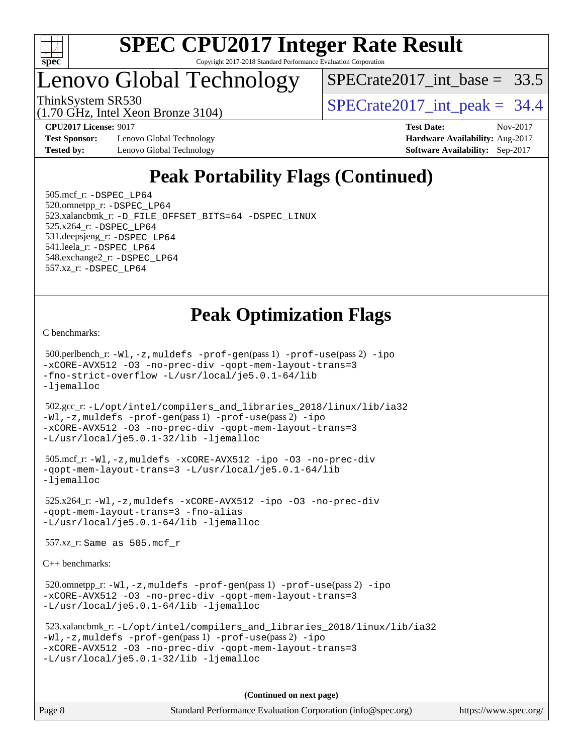

## Lenovo Global Technology

SPECrate2017 int\_base =  $33.5$ 

(1.70 GHz, Intel Xeon Bronze 3104)

ThinkSystem SR530  $SPECrate2017$  int peak = 34.4

**[Test Sponsor:](http://www.spec.org/auto/cpu2017/Docs/result-fields.html#TestSponsor)** Lenovo Global Technology **[Hardware Availability:](http://www.spec.org/auto/cpu2017/Docs/result-fields.html#HardwareAvailability)** Aug-2017 **[Tested by:](http://www.spec.org/auto/cpu2017/Docs/result-fields.html#Testedby)** Lenovo Global Technology **[Software Availability:](http://www.spec.org/auto/cpu2017/Docs/result-fields.html#SoftwareAvailability)** Sep-2017

**[CPU2017 License:](http://www.spec.org/auto/cpu2017/Docs/result-fields.html#CPU2017License)** 9017 **[Test Date:](http://www.spec.org/auto/cpu2017/Docs/result-fields.html#TestDate)** Nov-2017

## **[Peak Portability Flags \(Continued\)](http://www.spec.org/auto/cpu2017/Docs/result-fields.html#PeakPortabilityFlags)**

 505.mcf\_r: [-DSPEC\\_LP64](http://www.spec.org/cpu2017/results/res2017q4/cpu2017-20171113-00541.flags.html#suite_peakPORTABILITY505_mcf_r_DSPEC_LP64) 520.omnetpp\_r: [-DSPEC\\_LP64](http://www.spec.org/cpu2017/results/res2017q4/cpu2017-20171113-00541.flags.html#suite_peakPORTABILITY520_omnetpp_r_DSPEC_LP64) 523.xalancbmk\_r: [-D\\_FILE\\_OFFSET\\_BITS=64](http://www.spec.org/cpu2017/results/res2017q4/cpu2017-20171113-00541.flags.html#user_peakPORTABILITY523_xalancbmk_r_file_offset_bits_64_5ae949a99b284ddf4e95728d47cb0843d81b2eb0e18bdfe74bbf0f61d0b064f4bda2f10ea5eb90e1dcab0e84dbc592acfc5018bc955c18609f94ddb8d550002c) [-DSPEC\\_LINUX](http://www.spec.org/cpu2017/results/res2017q4/cpu2017-20171113-00541.flags.html#b523.xalancbmk_r_peakCXXPORTABILITY_DSPEC_LINUX) 525.x264\_r: [-DSPEC\\_LP64](http://www.spec.org/cpu2017/results/res2017q4/cpu2017-20171113-00541.flags.html#suite_peakPORTABILITY525_x264_r_DSPEC_LP64) 531.deepsjeng\_r: [-DSPEC\\_LP64](http://www.spec.org/cpu2017/results/res2017q4/cpu2017-20171113-00541.flags.html#suite_peakPORTABILITY531_deepsjeng_r_DSPEC_LP64) 541.leela\_r: [-DSPEC\\_LP64](http://www.spec.org/cpu2017/results/res2017q4/cpu2017-20171113-00541.flags.html#suite_peakPORTABILITY541_leela_r_DSPEC_LP64) 548.exchange2\_r: [-DSPEC\\_LP64](http://www.spec.org/cpu2017/results/res2017q4/cpu2017-20171113-00541.flags.html#suite_peakPORTABILITY548_exchange2_r_DSPEC_LP64) 557.xz\_r: [-DSPEC\\_LP64](http://www.spec.org/cpu2017/results/res2017q4/cpu2017-20171113-00541.flags.html#suite_peakPORTABILITY557_xz_r_DSPEC_LP64)

## **[Peak Optimization Flags](http://www.spec.org/auto/cpu2017/Docs/result-fields.html#PeakOptimizationFlags)**

[C benchmarks](http://www.spec.org/auto/cpu2017/Docs/result-fields.html#Cbenchmarks):

 500.perlbench\_r: [-Wl,-z,muldefs](http://www.spec.org/cpu2017/results/res2017q4/cpu2017-20171113-00541.flags.html#user_peakEXTRA_LDFLAGS500_perlbench_r_link_force_multiple1_b4cbdb97b34bdee9ceefcfe54f4c8ea74255f0b02a4b23e853cdb0e18eb4525ac79b5a88067c842dd0ee6996c24547a27a4b99331201badda8798ef8a743f577) [-prof-gen](http://www.spec.org/cpu2017/results/res2017q4/cpu2017-20171113-00541.flags.html#user_peakPASS1_CFLAGSPASS1_LDFLAGS500_perlbench_r_prof_gen_5aa4926d6013ddb2a31985c654b3eb18169fc0c6952a63635c234f711e6e63dd76e94ad52365559451ec499a2cdb89e4dc58ba4c67ef54ca681ffbe1461d6b36)(pass 1) [-prof-use](http://www.spec.org/cpu2017/results/res2017q4/cpu2017-20171113-00541.flags.html#user_peakPASS2_CFLAGSPASS2_LDFLAGS500_perlbench_r_prof_use_1a21ceae95f36a2b53c25747139a6c16ca95bd9def2a207b4f0849963b97e94f5260e30a0c64f4bb623698870e679ca08317ef8150905d41bd88c6f78df73f19)(pass 2) [-ipo](http://www.spec.org/cpu2017/results/res2017q4/cpu2017-20171113-00541.flags.html#user_peakPASS1_COPTIMIZEPASS2_COPTIMIZE500_perlbench_r_f-ipo) [-xCORE-AVX512](http://www.spec.org/cpu2017/results/res2017q4/cpu2017-20171113-00541.flags.html#user_peakPASS2_COPTIMIZE500_perlbench_r_f-xCORE-AVX512) [-O3](http://www.spec.org/cpu2017/results/res2017q4/cpu2017-20171113-00541.flags.html#user_peakPASS1_COPTIMIZEPASS2_COPTIMIZE500_perlbench_r_f-O3) [-no-prec-div](http://www.spec.org/cpu2017/results/res2017q4/cpu2017-20171113-00541.flags.html#user_peakPASS1_COPTIMIZEPASS2_COPTIMIZE500_perlbench_r_f-no-prec-div) [-qopt-mem-layout-trans=3](http://www.spec.org/cpu2017/results/res2017q4/cpu2017-20171113-00541.flags.html#user_peakPASS1_COPTIMIZEPASS2_COPTIMIZE500_perlbench_r_f-qopt-mem-layout-trans_de80db37974c74b1f0e20d883f0b675c88c3b01e9d123adea9b28688d64333345fb62bc4a798493513fdb68f60282f9a726aa07f478b2f7113531aecce732043) [-fno-strict-overflow](http://www.spec.org/cpu2017/results/res2017q4/cpu2017-20171113-00541.flags.html#user_peakEXTRA_OPTIMIZE500_perlbench_r_f-fno-strict-overflow) [-L/usr/local/je5.0.1-64/lib](http://www.spec.org/cpu2017/results/res2017q4/cpu2017-20171113-00541.flags.html#user_peakEXTRA_LIBS500_perlbench_r_jemalloc_link_path64_4b10a636b7bce113509b17f3bd0d6226c5fb2346b9178c2d0232c14f04ab830f976640479e5c33dc2bcbbdad86ecfb6634cbbd4418746f06f368b512fced5394) [-ljemalloc](http://www.spec.org/cpu2017/results/res2017q4/cpu2017-20171113-00541.flags.html#user_peakEXTRA_LIBS500_perlbench_r_jemalloc_link_lib_d1249b907c500fa1c0672f44f562e3d0f79738ae9e3c4a9c376d49f265a04b9c99b167ecedbf6711b3085be911c67ff61f150a17b3472be731631ba4d0471706)

 502.gcc\_r: [-L/opt/intel/compilers\\_and\\_libraries\\_2018/linux/lib/ia32](http://www.spec.org/cpu2017/results/res2017q4/cpu2017-20171113-00541.flags.html#user_peakCCLD502_gcc_r_Enable-32bit-runtime_af243bdb1d79e4c7a4f720bf8275e627de2ecd461de63307bc14cef0633fde3cd7bb2facb32dcc8be9566045fb55d40ce2b72b725f73827aa7833441b71b9343) [-Wl,-z,muldefs](http://www.spec.org/cpu2017/results/res2017q4/cpu2017-20171113-00541.flags.html#user_peakEXTRA_LDFLAGS502_gcc_r_link_force_multiple1_b4cbdb97b34bdee9ceefcfe54f4c8ea74255f0b02a4b23e853cdb0e18eb4525ac79b5a88067c842dd0ee6996c24547a27a4b99331201badda8798ef8a743f577) [-prof-gen](http://www.spec.org/cpu2017/results/res2017q4/cpu2017-20171113-00541.flags.html#user_peakPASS1_CFLAGSPASS1_LDFLAGS502_gcc_r_prof_gen_5aa4926d6013ddb2a31985c654b3eb18169fc0c6952a63635c234f711e6e63dd76e94ad52365559451ec499a2cdb89e4dc58ba4c67ef54ca681ffbe1461d6b36)(pass 1) [-prof-use](http://www.spec.org/cpu2017/results/res2017q4/cpu2017-20171113-00541.flags.html#user_peakPASS2_CFLAGSPASS2_LDFLAGS502_gcc_r_prof_use_1a21ceae95f36a2b53c25747139a6c16ca95bd9def2a207b4f0849963b97e94f5260e30a0c64f4bb623698870e679ca08317ef8150905d41bd88c6f78df73f19)(pass 2) [-ipo](http://www.spec.org/cpu2017/results/res2017q4/cpu2017-20171113-00541.flags.html#user_peakPASS1_COPTIMIZEPASS2_COPTIMIZE502_gcc_r_f-ipo) [-xCORE-AVX512](http://www.spec.org/cpu2017/results/res2017q4/cpu2017-20171113-00541.flags.html#user_peakPASS2_COPTIMIZE502_gcc_r_f-xCORE-AVX512) [-O3](http://www.spec.org/cpu2017/results/res2017q4/cpu2017-20171113-00541.flags.html#user_peakPASS1_COPTIMIZEPASS2_COPTIMIZE502_gcc_r_f-O3) [-no-prec-div](http://www.spec.org/cpu2017/results/res2017q4/cpu2017-20171113-00541.flags.html#user_peakPASS1_COPTIMIZEPASS2_COPTIMIZE502_gcc_r_f-no-prec-div) [-qopt-mem-layout-trans=3](http://www.spec.org/cpu2017/results/res2017q4/cpu2017-20171113-00541.flags.html#user_peakPASS1_COPTIMIZEPASS2_COPTIMIZE502_gcc_r_f-qopt-mem-layout-trans_de80db37974c74b1f0e20d883f0b675c88c3b01e9d123adea9b28688d64333345fb62bc4a798493513fdb68f60282f9a726aa07f478b2f7113531aecce732043) [-L/usr/local/je5.0.1-32/lib](http://www.spec.org/cpu2017/results/res2017q4/cpu2017-20171113-00541.flags.html#user_peakEXTRA_LIBS502_gcc_r_jemalloc_link_path32_e29f22e8e6c17053bbc6a0971f5a9c01a601a06bb1a59df2084b77a2fe0a2995b64fd4256feaeea39eeba3aae142e96e2b2b0a28974019c0c0c88139a84f900a) [-ljemalloc](http://www.spec.org/cpu2017/results/res2017q4/cpu2017-20171113-00541.flags.html#user_peakEXTRA_LIBS502_gcc_r_jemalloc_link_lib_d1249b907c500fa1c0672f44f562e3d0f79738ae9e3c4a9c376d49f265a04b9c99b167ecedbf6711b3085be911c67ff61f150a17b3472be731631ba4d0471706)

```
 505.mcf_r: -Wl,-z,muldefs -xCORE-AVX512 -ipo -O3 -no-prec-div
-qopt-mem-layout-trans=3 -L/usr/local/je5.0.1-64/lib
-ljemalloc
```
 525.x264\_r: [-Wl,-z,muldefs](http://www.spec.org/cpu2017/results/res2017q4/cpu2017-20171113-00541.flags.html#user_peakEXTRA_LDFLAGS525_x264_r_link_force_multiple1_b4cbdb97b34bdee9ceefcfe54f4c8ea74255f0b02a4b23e853cdb0e18eb4525ac79b5a88067c842dd0ee6996c24547a27a4b99331201badda8798ef8a743f577) [-xCORE-AVX512](http://www.spec.org/cpu2017/results/res2017q4/cpu2017-20171113-00541.flags.html#user_peakCOPTIMIZE525_x264_r_f-xCORE-AVX512) [-ipo](http://www.spec.org/cpu2017/results/res2017q4/cpu2017-20171113-00541.flags.html#user_peakCOPTIMIZE525_x264_r_f-ipo) [-O3](http://www.spec.org/cpu2017/results/res2017q4/cpu2017-20171113-00541.flags.html#user_peakCOPTIMIZE525_x264_r_f-O3) [-no-prec-div](http://www.spec.org/cpu2017/results/res2017q4/cpu2017-20171113-00541.flags.html#user_peakCOPTIMIZE525_x264_r_f-no-prec-div) [-qopt-mem-layout-trans=3](http://www.spec.org/cpu2017/results/res2017q4/cpu2017-20171113-00541.flags.html#user_peakCOPTIMIZE525_x264_r_f-qopt-mem-layout-trans_de80db37974c74b1f0e20d883f0b675c88c3b01e9d123adea9b28688d64333345fb62bc4a798493513fdb68f60282f9a726aa07f478b2f7113531aecce732043) [-fno-alias](http://www.spec.org/cpu2017/results/res2017q4/cpu2017-20171113-00541.flags.html#user_peakEXTRA_OPTIMIZE525_x264_r_f-no-alias_77dbac10d91cbfe898fbf4a29d1b29b694089caa623bdd1baccc9957d4edbe8d106c0b357e2748a65b44fc9e83d78098bb898077f3fe92f9faf24f7bd4a07ed7) [-L/usr/local/je5.0.1-64/lib](http://www.spec.org/cpu2017/results/res2017q4/cpu2017-20171113-00541.flags.html#user_peakEXTRA_LIBS525_x264_r_jemalloc_link_path64_4b10a636b7bce113509b17f3bd0d6226c5fb2346b9178c2d0232c14f04ab830f976640479e5c33dc2bcbbdad86ecfb6634cbbd4418746f06f368b512fced5394) [-ljemalloc](http://www.spec.org/cpu2017/results/res2017q4/cpu2017-20171113-00541.flags.html#user_peakEXTRA_LIBS525_x264_r_jemalloc_link_lib_d1249b907c500fa1c0672f44f562e3d0f79738ae9e3c4a9c376d49f265a04b9c99b167ecedbf6711b3085be911c67ff61f150a17b3472be731631ba4d0471706)

557.xz\_r: Same as 505.mcf\_r

[C++ benchmarks:](http://www.spec.org/auto/cpu2017/Docs/result-fields.html#CXXbenchmarks)

520.omnetpp\_r: $-Wl$ ,-z,muldefs -prof-qen(pass 1) [-prof-use](http://www.spec.org/cpu2017/results/res2017q4/cpu2017-20171113-00541.flags.html#user_peakPASS2_CXXFLAGSPASS2_LDFLAGS520_omnetpp_r_prof_use_1a21ceae95f36a2b53c25747139a6c16ca95bd9def2a207b4f0849963b97e94f5260e30a0c64f4bb623698870e679ca08317ef8150905d41bd88c6f78df73f19)(pass 2) [-ipo](http://www.spec.org/cpu2017/results/res2017q4/cpu2017-20171113-00541.flags.html#user_peakPASS1_CXXOPTIMIZEPASS2_CXXOPTIMIZE520_omnetpp_r_f-ipo) [-xCORE-AVX512](http://www.spec.org/cpu2017/results/res2017q4/cpu2017-20171113-00541.flags.html#user_peakPASS2_CXXOPTIMIZE520_omnetpp_r_f-xCORE-AVX512) [-O3](http://www.spec.org/cpu2017/results/res2017q4/cpu2017-20171113-00541.flags.html#user_peakPASS1_CXXOPTIMIZEPASS2_CXXOPTIMIZE520_omnetpp_r_f-O3) [-no-prec-div](http://www.spec.org/cpu2017/results/res2017q4/cpu2017-20171113-00541.flags.html#user_peakPASS1_CXXOPTIMIZEPASS2_CXXOPTIMIZE520_omnetpp_r_f-no-prec-div) [-qopt-mem-layout-trans=3](http://www.spec.org/cpu2017/results/res2017q4/cpu2017-20171113-00541.flags.html#user_peakPASS1_CXXOPTIMIZEPASS2_CXXOPTIMIZE520_omnetpp_r_f-qopt-mem-layout-trans_de80db37974c74b1f0e20d883f0b675c88c3b01e9d123adea9b28688d64333345fb62bc4a798493513fdb68f60282f9a726aa07f478b2f7113531aecce732043) [-L/usr/local/je5.0.1-64/lib](http://www.spec.org/cpu2017/results/res2017q4/cpu2017-20171113-00541.flags.html#user_peakEXTRA_LIBS520_omnetpp_r_jemalloc_link_path64_4b10a636b7bce113509b17f3bd0d6226c5fb2346b9178c2d0232c14f04ab830f976640479e5c33dc2bcbbdad86ecfb6634cbbd4418746f06f368b512fced5394) [-ljemalloc](http://www.spec.org/cpu2017/results/res2017q4/cpu2017-20171113-00541.flags.html#user_peakEXTRA_LIBS520_omnetpp_r_jemalloc_link_lib_d1249b907c500fa1c0672f44f562e3d0f79738ae9e3c4a9c376d49f265a04b9c99b167ecedbf6711b3085be911c67ff61f150a17b3472be731631ba4d0471706)

```
 523.xalancbmk_r: -L/opt/intel/compilers_and_libraries_2018/linux/lib/ia32
-Wl,-z,muldefs -prof-gen(pass 1) -prof-use(pass 2) -ipo
-xCORE-AVX512 -O3 -no-prec-div -qopt-mem-layout-trans=3
-L/usr/local/je5.0.1-32/lib -ljemalloc
```
**(Continued on next page)**